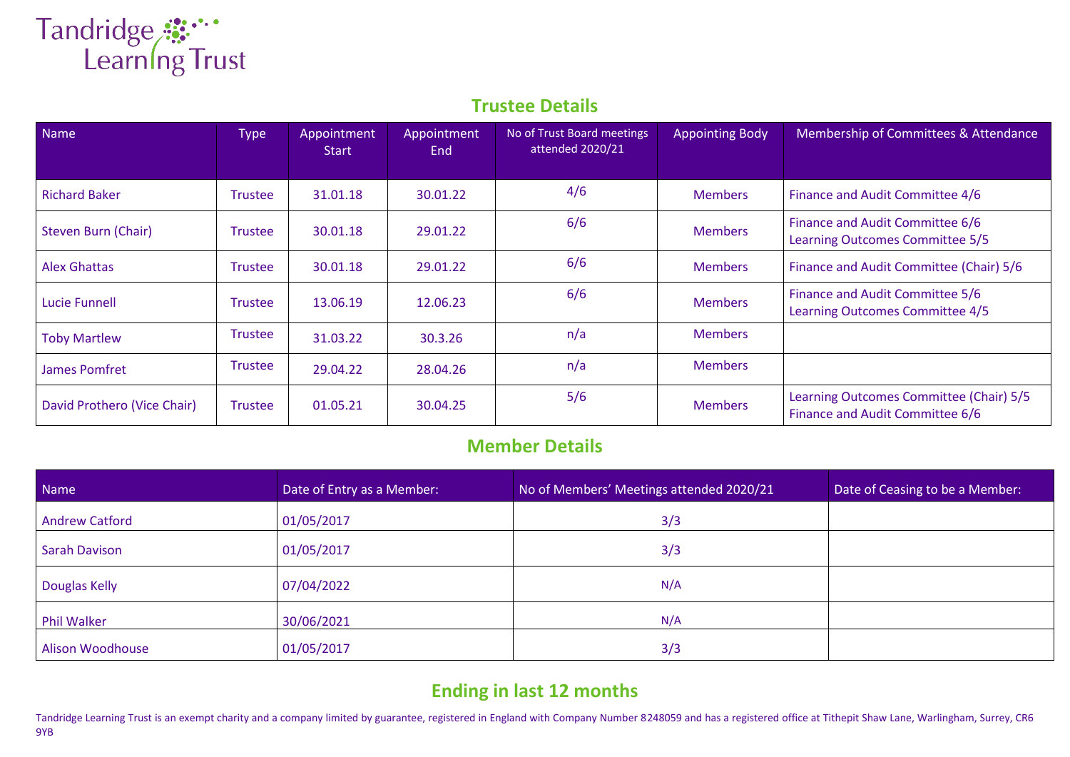## Tandridge **::**<br>Learning Trust

## **Trustee Details**

| Name                        | <b>Type</b>    | Appointment<br><b>Start</b> | Appointment<br>End | No of Trust Board meetings<br>attended 2020/21 | <b>Appointing Body</b> | Membership of Committees & Attendance                                      |
|-----------------------------|----------------|-----------------------------|--------------------|------------------------------------------------|------------------------|----------------------------------------------------------------------------|
| <b>Richard Baker</b>        | <b>Trustee</b> | 31.01.18                    | 30.01.22           | 4/6                                            | <b>Members</b>         | Finance and Audit Committee 4/6                                            |
| Steven Burn (Chair)         | Trustee        | 30.01.18                    | 29.01.22           | 6/6                                            | <b>Members</b>         | Finance and Audit Committee 6/6<br>Learning Outcomes Committee 5/5         |
| <b>Alex Ghattas</b>         | <b>Trustee</b> | 30.01.18                    | 29.01.22           | 6/6                                            | <b>Members</b>         | Finance and Audit Committee (Chair) 5/6                                    |
| Lucie Funnell               | <b>Trustee</b> | 13.06.19                    | 12.06.23           | 6/6                                            | <b>Members</b>         | Finance and Audit Committee 5/6<br>Learning Outcomes Committee 4/5         |
| <b>Toby Martlew</b>         | <b>Trustee</b> | 31.03.22                    | 30.3.26            | n/a                                            | <b>Members</b>         |                                                                            |
| James Pomfret               | <b>Trustee</b> | 29.04.22                    | 28.04.26           | n/a                                            | <b>Members</b>         |                                                                            |
| David Prothero (Vice Chair) | Trustee        | 01.05.21                    | 30.04.25           | 5/6                                            | <b>Members</b>         | Learning Outcomes Committee (Chair) 5/5<br>Finance and Audit Committee 6/6 |

## **Member Details**

| Name                    | Date of Entry as a Member: | No of Members' Meetings attended 2020/21 | Date of Ceasing to be a Member: |
|-------------------------|----------------------------|------------------------------------------|---------------------------------|
| <b>Andrew Catford</b>   | 01/05/2017                 | 3/3                                      |                                 |
| <b>Sarah Davison</b>    | 01/05/2017                 | 3/3                                      |                                 |
| <b>Douglas Kelly</b>    | 07/04/2022                 | N/A                                      |                                 |
| <b>Phil Walker</b>      | 30/06/2021                 | N/A                                      |                                 |
| <b>Alison Woodhouse</b> | 01/05/2017                 | 3/3                                      |                                 |

## **Ending in last 12 months**

Tandridge Learning Trust is an exempt charity and a company limited by guarantee, registered in England with Company Number 8248059 and has a registered office at Tithepit Shaw Lane, Warlingham, Surrey, CR6 9YB